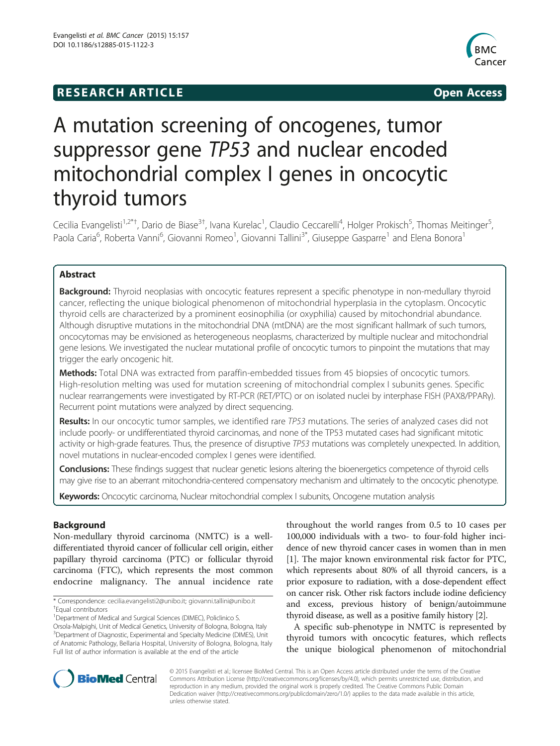# **RESEARCH ARTICLE Example 2014 The SEAR CH ACCESS**



# A mutation screening of oncogenes, tumor suppressor gene TP53 and nuclear encoded mitochondrial complex I genes in oncocytic thyroid tumors

Cecilia Evangelisti<sup>1,2\*†</sup>, Dario de Biase<sup>3†</sup>, Ivana Kurelac<sup>1</sup>, Claudio Ceccarelli<sup>4</sup>, Holger Prokisch<sup>5</sup>, Thomas Meitinger<sup>5</sup> , Paola Caria<sup>6</sup>, Roberta Vanni<sup>6</sup>, Giovanni Romeo<sup>1</sup>, Giovanni Tallini<sup>3\*</sup>, Giuseppe Gasparre<sup>1</sup> and Elena Bonora<sup>1</sup>

# Abstract

Background: Thyroid neoplasias with oncocytic features represent a specific phenotype in non-medullary thyroid cancer, reflecting the unique biological phenomenon of mitochondrial hyperplasia in the cytoplasm. Oncocytic thyroid cells are characterized by a prominent eosinophilia (or oxyphilia) caused by mitochondrial abundance. Although disruptive mutations in the mitochondrial DNA (mtDNA) are the most significant hallmark of such tumors, oncocytomas may be envisioned as heterogeneous neoplasms, characterized by multiple nuclear and mitochondrial gene lesions. We investigated the nuclear mutational profile of oncocytic tumors to pinpoint the mutations that may trigger the early oncogenic hit.

Methods: Total DNA was extracted from paraffin-embedded tissues from 45 biopsies of oncocytic tumors. High-resolution melting was used for mutation screening of mitochondrial complex I subunits genes. Specific nuclear rearrangements were investigated by RT-PCR (RET/PTC) or on isolated nuclei by interphase FISH (PAX8/PPARγ). Recurrent point mutations were analyzed by direct sequencing.

Results: In our oncocytic tumor samples, we identified rare TP53 mutations. The series of analyzed cases did not include poorly- or undifferentiated thyroid carcinomas, and none of the TP53 mutated cases had significant mitotic activity or high-grade features. Thus, the presence of disruptive TP53 mutations was completely unexpected. In addition, novel mutations in nuclear-encoded complex I genes were identified.

Conclusions: These findings suggest that nuclear genetic lesions altering the bioenergetics competence of thyroid cells may give rise to an aberrant mitochondria-centered compensatory mechanism and ultimately to the oncocytic phenotype.

Keywords: Oncocytic carcinoma, Nuclear mitochondrial complex I subunits, Oncogene mutation analysis

# Background

Non-medullary thyroid carcinoma (NMTC) is a welldifferentiated thyroid cancer of follicular cell origin, either papillary thyroid carcinoma (PTC) or follicular thyroid carcinoma (FTC), which represents the most common endocrine malignancy. The annual incidence rate

\* Correspondence: [cecilia.evangelisti2@unibo.it](mailto:cecilia.evangelisti2@unibo.it); [giovanni.tallini@unibo.it](mailto:giovanni.tallini@unibo.it) † <sup>+</sup>Equal contributors

<sup>1</sup> Department of Medical and Surgical Sciences (DIMEC), Policlinico S.

Orsola-Malpighi, Unit of Medical Genetics, University of Bologna, Bologna, Italy <sup>3</sup>Department of Diagnostic, Experimental and Specialty Medicine (DIMES), Unit of Anatomic Pathology, Bellaria Hospital, University of Bologna, Bologna, Italy Full list of author information is available at the end of the article

throughout the world ranges from 0.5 to 10 cases per 100,000 individuals with a two- to four-fold higher incidence of new thyroid cancer cases in women than in men [[1\]](#page-5-0). The major known environmental risk factor for PTC, which represents about 80% of all thyroid cancers, is a prior exposure to radiation, with a dose-dependent effect on cancer risk. Other risk factors include iodine deficiency and excess, previous history of benign/autoimmune thyroid disease, as well as a positive family history [\[2\]](#page-5-0).

A specific sub-phenotype in NMTC is represented by thyroid tumors with oncocytic features, which reflects the unique biological phenomenon of mitochondrial



© 2015 Evangelisti et al.; licensee BioMed Central. This is an Open Access article distributed under the terms of the Creative Commons Attribution License [\(http://creativecommons.org/licenses/by/4.0\)](http://creativecommons.org/licenses/by/4.0), which permits unrestricted use, distribution, and reproduction in any medium, provided the original work is properly credited. The Creative Commons Public Domain Dedication waiver [\(http://creativecommons.org/publicdomain/zero/1.0/](http://creativecommons.org/publicdomain/zero/1.0/)) applies to the data made available in this article, unless otherwise stated.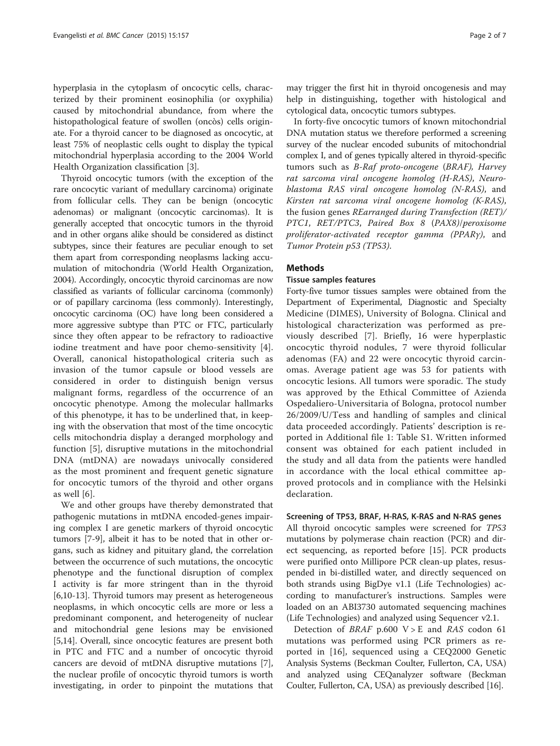hyperplasia in the cytoplasm of oncocytic cells, characterized by their prominent eosinophilia (or oxyphilia) caused by mitochondrial abundance, from where the histopathological feature of swollen (oncòs) cells originate. For a thyroid cancer to be diagnosed as oncocytic, at least 75% of neoplastic cells ought to display the typical mitochondrial hyperplasia according to the 2004 World Health Organization classification [[3\]](#page-5-0).

Thyroid oncocytic tumors (with the exception of the rare oncocytic variant of medullary carcinoma) originate from follicular cells. They can be benign (oncocytic adenomas) or malignant (oncocytic carcinomas). It is generally accepted that oncocytic tumors in the thyroid and in other organs alike should be considered as distinct subtypes, since their features are peculiar enough to set them apart from corresponding neoplasms lacking accumulation of mitochondria (World Health Organization, 2004). Accordingly, oncocytic thyroid carcinomas are now classified as variants of follicular carcinoma (commonly) or of papillary carcinoma (less commonly). Interestingly, oncocytic carcinoma (OC) have long been considered a more aggressive subtype than PTC or FTC, particularly since they often appear to be refractory to radioactive iodine treatment and have poor chemo-sensitivity [\[4](#page-5-0)]. Overall, canonical histopathological criteria such as invasion of the tumor capsule or blood vessels are considered in order to distinguish benign versus malignant forms, regardless of the occurrence of an oncocytic phenotype. Among the molecular hallmarks of this phenotype, it has to be underlined that, in keeping with the observation that most of the time oncocytic cells mitochondria display a deranged morphology and function [[5\]](#page-5-0), disruptive mutations in the mitochondrial DNA (mtDNA) are nowadays univocally considered as the most prominent and frequent genetic signature for oncocytic tumors of the thyroid and other organs as well [\[6\]](#page-5-0).

We and other groups have thereby demonstrated that pathogenic mutations in mtDNA encoded-genes impairing complex I are genetic markers of thyroid oncocytic tumors [[7-9](#page-5-0)], albeit it has to be noted that in other organs, such as kidney and pituitary gland, the correlation between the occurrence of such mutations, the oncocytic phenotype and the functional disruption of complex I activity is far more stringent than in the thyroid [[6,10-13](#page-5-0)]. Thyroid tumors may present as heterogeneous neoplasms, in which oncocytic cells are more or less a predominant component, and heterogeneity of nuclear and mitochondrial gene lesions may be envisioned [[5,14\]](#page-5-0). Overall, since oncocytic features are present both in PTC and FTC and a number of oncocytic thyroid cancers are devoid of mtDNA disruptive mutations [\[7](#page-5-0)], the nuclear profile of oncocytic thyroid tumors is worth investigating, in order to pinpoint the mutations that

may trigger the first hit in thyroid oncogenesis and may help in distinguishing, together with histological and cytological data, oncocytic tumors subtypes.

In forty-five oncocytic tumors of known mitochondrial DNA mutation status we therefore performed a screening survey of the nuclear encoded subunits of mitochondrial complex I, and of genes typically altered in thyroid-specific tumors such as B-Raf proto-oncogene (BRAF), Harvey rat sarcoma viral oncogene homolog (H-RAS), Neuroblastoma RAS viral oncogene homolog (N-RAS), and Kirsten rat sarcoma viral oncogene homolog (K-RAS), the fusion genes REarranged during Transfection (RET)/ PTC1, RET/PTC3, Paired Box 8 (PAX8)/peroxisome proliferator-activated receptor gamma (PPARγ), and Tumor Protein p53 (TP53).

## **Methods**

#### Tissue samples features

Forty-five tumor tissues samples were obtained from the Department of Experimental, Diagnostic and Specialty Medicine (DIMES), University of Bologna. Clinical and histological characterization was performed as previously described [[7\]](#page-5-0). Briefly, 16 were hyperplastic oncocytic thyroid nodules, 7 were thyroid follicular adenomas (FA) and 22 were oncocytic thyroid carcinomas. Average patient age was 53 for patients with oncocytic lesions. All tumors were sporadic. The study was approved by the Ethical Committee of Azienda Ospedaliero-Universitaria of Bologna, protocol number 26/2009/U/Tess and handling of samples and clinical data proceeded accordingly. Patients' description is reported in Additional file [1](#page-5-0): Table S1. Written informed consent was obtained for each patient included in the study and all data from the patients were handled in accordance with the local ethical committee approved protocols and in compliance with the Helsinki declaration.

#### Screening of TP53, BRAF, H-RAS, K-RAS and N-RAS genes

All thyroid oncocytic samples were screened for TP53 mutations by polymerase chain reaction (PCR) and direct sequencing, as reported before [[15\]](#page-5-0). PCR products were purified onto Millipore PCR clean-up plates, resuspended in bi-distilled water, and directly sequenced on both strands using BigDye v1.1 (Life Technologies) according to manufacturer's instructions. Samples were loaded on an ABI3730 automated sequencing machines (Life Technologies) and analyzed using Sequencer v2.1.

Detection of BRAF p.600 V > E and RAS codon 61 mutations was performed using PCR primers as reported in [[16](#page-5-0)], sequenced using a CEQ2000 Genetic Analysis Systems (Beckman Coulter, Fullerton, CA, USA) and analyzed using CEQanalyzer software (Beckman Coulter, Fullerton, CA, USA) as previously described [[16](#page-5-0)].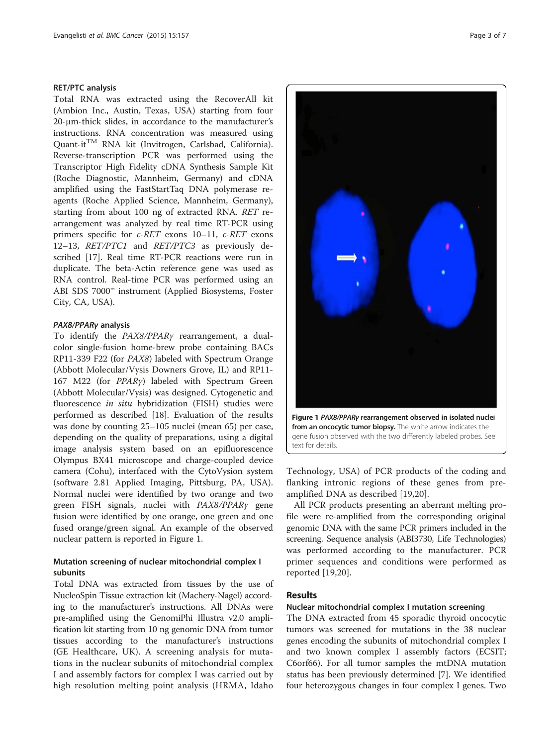#### RET/PTC analysis

Total RNA was extracted using the RecoverAll kit (Ambion Inc., Austin, Texas, USA) starting from four 20-μm-thick slides, in accordance to the manufacturer's instructions. RNA concentration was measured using Quant-itTM RNA kit (Invitrogen, Carlsbad, California). Reverse-transcription PCR was performed using the Transcriptor High Fidelity cDNA Synthesis Sample Kit (Roche Diagnostic, Mannheim, Germany) and cDNA amplified using the FastStartTaq DNA polymerase reagents (Roche Applied Science, Mannheim, Germany), starting from about 100 ng of extracted RNA. RET rearrangement was analyzed by real time RT-PCR using primers specific for c-RET exons 10–11, c-RET exons 12–13, RET/PTC1 and RET/PTC3 as previously described [[17\]](#page-5-0). Real time RT-PCR reactions were run in duplicate. The beta-Actin reference gene was used as RNA control. Real-time PCR was performed using an ABI SDS 7000™ instrument (Applied Biosystems, Foster City, CA, USA).

#### PAX8/PPARγ analysis

To identify the PAX8/PPARγ rearrangement, a dualcolor single-fusion home-brew probe containing BACs RP11-339 F22 (for PAX8) labeled with Spectrum Orange (Abbott Molecular/Vysis Downers Grove, IL) and RP11- 167 M22 (for PPARγ) labeled with Spectrum Green (Abbott Molecular/Vysis) was designed. Cytogenetic and fluorescence in situ hybridization (FISH) studies were performed as described [[18\]](#page-6-0). Evaluation of the results was done by counting 25–105 nuclei (mean 65) per case, depending on the quality of preparations, using a digital image analysis system based on an epifluorescence Olympus BX41 microscope and charge-coupled device camera (Cohu), interfaced with the CytoVysion system (software 2.81 Applied Imaging, Pittsburg, PA, USA). Normal nuclei were identified by two orange and two green FISH signals, nuclei with PAX8/PPARγ gene fusion were identified by one orange, one green and one fused orange/green signal. An example of the observed nuclear pattern is reported in Figure 1.

# Mutation screening of nuclear mitochondrial complex I subunits

Total DNA was extracted from tissues by the use of NucleoSpin Tissue extraction kit (Machery-Nagel) according to the manufacturer's instructions. All DNAs were pre-amplified using the GenomiPhi Illustra v2.0 amplification kit starting from 10 ng genomic DNA from tumor tissues according to the manufacturer's instructions (GE Healthcare, UK). A screening analysis for mutations in the nuclear subunits of mitochondrial complex I and assembly factors for complex I was carried out by high resolution melting point analysis (HRMA, Idaho



Figure 1 PAX8/PPARγ rearrangement observed in isolated nuclei from an oncocytic tumor biopsy. The white arrow indicates the gene fusion observed with the two differently labeled probes. See text for details.

Technology, USA) of PCR products of the coding and flanking intronic regions of these genes from preamplified DNA as described [[19,20](#page-6-0)].

All PCR products presenting an aberrant melting profile were re-amplified from the corresponding original genomic DNA with the same PCR primers included in the screening. Sequence analysis (ABI3730, Life Technologies) was performed according to the manufacturer. PCR primer sequences and conditions were performed as reported [\[19](#page-6-0),[20\]](#page-6-0).

## Results

# Nuclear mitochondrial complex I mutation screening

The DNA extracted from 45 sporadic thyroid oncocytic tumors was screened for mutations in the 38 nuclear genes encoding the subunits of mitochondrial complex I and two known complex I assembly factors (ECSIT; C6orf66). For all tumor samples the mtDNA mutation status has been previously determined [\[7](#page-5-0)]. We identified four heterozygous changes in four complex I genes. Two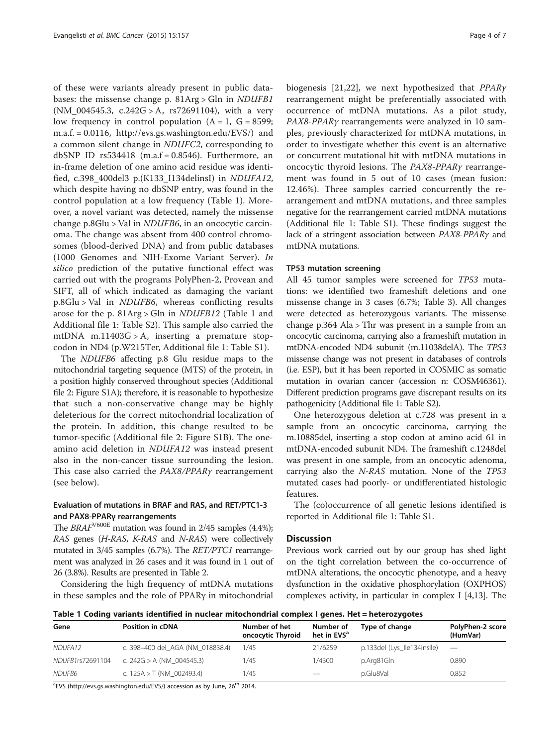of these were variants already present in public databases: the missense change p. 81Arg > Gln in NDUFB1 (NM\_004545.3, c.242G > A, rs72691104), with a very low frequency in control population  $(A = 1, G = 8599;$ m.a.f. = 0.0116, [http://evs.gs.washington.edu/EVS/\)](http://evs.gs.washington.edu/EVS/) and a common silent change in NDUFC2, corresponding to dbSNP ID  $rs534418$  (m.a.f = 0.8546). Furthermore, an in-frame deletion of one amino acid residue was identified, c.398\_400del3 p.(K133\_I134delinsI) in NDUFA12, which despite having no dbSNP entry, was found in the control population at a low frequency (Table 1). Moreover, a novel variant was detected, namely the missense change p.8Glu > Val in NDUFB6, in an oncocytic carcinoma. The change was absent from 400 control chromosomes (blood-derived DNA) and from public databases (1000 Genomes and NIH-Exome Variant Server). In silico prediction of the putative functional effect was carried out with the programs PolyPhen-2, Provean and SIFT, all of which indicated as damaging the variant p.8Glu > Val in NDUFB6, whereas conflicting results arose for the p. 81Arg > Gln in NDUFB12 (Table 1 and Additional file [1](#page-5-0): Table S2). This sample also carried the mtDNA m.11403G > A, inserting a premature stopcodon in ND4 (p.W215Ter, Additional file [1:](#page-5-0) Table S1).

The NDUFB6 affecting p.8 Glu residue maps to the mitochondrial targeting sequence (MTS) of the protein, in a position highly conserved throughout species (Additional file [2:](#page-5-0) Figure S1A); therefore, it is reasonable to hypothesize that such a non-conservative change may be highly deleterious for the correct mitochondrial localization of the protein. In addition, this change resulted to be tumor-specific (Additional file [2](#page-5-0): Figure S1B). The oneamino acid deletion in NDUFA12 was instead present also in the non-cancer tissue surrounding the lesion. This case also carried the PAX8/PPARγ rearrangement (see below).

# Evaluation of mutations in BRAF and RAS, and RET/PTC1-3 and PAX8-PPARγ rearrangements

The  $BRAF^{\text{V600E}}$  mutation was found in 2/45 samples (4.4%); RAS genes (H-RAS, K-RAS and N-RAS) were collectively mutated in 3/45 samples (6.7%). The RET/PTC1 rearrangement was analyzed in 26 cases and it was found in 1 out of 26 (3.8%). Results are presented in Table [2.](#page-4-0)

Considering the high frequency of mtDNA mutations in these samples and the role of PPARγ in mitochondrial biogenesis [[21,22](#page-6-0)], we next hypothesized that PPARγ rearrangement might be preferentially associated with occurrence of mtDNA mutations. As a pilot study, PAX8-PPARγ rearrangements were analyzed in 10 samples, previously characterized for mtDNA mutations, in order to investigate whether this event is an alternative or concurrent mutational hit with mtDNA mutations in oncocytic thyroid lesions. The PAX8-PPARγ rearrangement was found in 5 out of 10 cases (mean fusion: 12.46%). Three samples carried concurrently the rearrangement and mtDNA mutations, and three samples negative for the rearrangement carried mtDNA mutations (Additional file [1:](#page-5-0) Table S1). These findings suggest the lack of a stringent association between PAX8-PPARγ and mtDNA mutations.

#### TP53 mutation screening

All 45 tumor samples were screened for TP53 mutations: we identified two frameshift deletions and one missense change in 3 cases (6.7%; Table [3](#page-4-0)). All changes were detected as heterozygous variants. The missense change p.364 Ala > Thr was present in a sample from an oncocytic carcinoma, carrying also a frameshift mutation in mtDNA-encoded ND4 subunit (m.11038delA). The TP53 missense change was not present in databases of controls (i.e. ESP), but it has been reported in COSMIC as somatic mutation in ovarian cancer (accession n: COSM46361). Different prediction programs gave discrepant results on its pathogenicity (Additional file [1:](#page-5-0) Table S2).

One heterozygous deletion at c.728 was present in a sample from an oncocytic carcinoma, carrying the m.10885del, inserting a stop codon at amino acid 61 in mtDNA-encoded subunit ND4. The frameshift c.1248del was present in one sample, from an oncocytic adenoma, carrying also the N-RAS mutation. None of the TP53 mutated cases had poorly- or undifferentiated histologic features.

The (co)occurrence of all genetic lesions identified is reported in Additional file [1:](#page-5-0) Table S1.

#### **Discussion**

Previous work carried out by our group has shed light on the tight correlation between the co-occurrence of mtDNA alterations, the oncocytic phenotype, and a heavy dysfunction in the oxidative phosphorylation (OXPHOS) complexes activity, in particular in complex I [\[4,13\]](#page-5-0). The

Table 1 Coding variants identified in nuclear mitochondrial complex I genes. Het = heterozygotes

| Gene                | Position in cDNA                 | Number of het<br>oncocytic Thyroid | Number of<br>het in EVS <sup>a</sup> | Type of change              | PolyPhen-2 score<br>(HumVar) |
|---------------------|----------------------------------|------------------------------------|--------------------------------------|-----------------------------|------------------------------|
| NDUFA <sub>12</sub> | c. 398-400 del AGA (NM 018838.4) | 1/45                               | 21/6259                              | p.133del (Lys_Ile134insIle) | $\overline{\phantom{a}}$     |
| NDUFB1rs72691104    | c. $242G > A$ (NM 004545.3)      | 1/45                               | 1/4300                               | p.Arg81Gln                  | 0.890                        |
| NDUFB6              | c. $125A > T$ (NM 002493.4)      | 1/45                               | $\overline{\phantom{m}}$             | p.Glu8Val                   | 0.852                        |

<sup>a</sup>EVS [\(http://evs.gs.washington.edu/EVS/\)](http://evs.gs.washington.edu/EVS/) accession as by June, 26<sup>th</sup> 2014.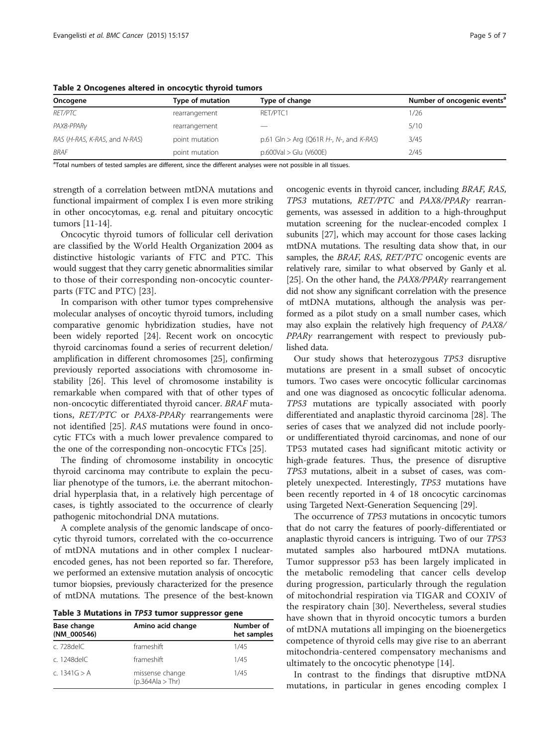| Oncogene                      | Type of mutation | Type of change                          | Number of oncogenic events <sup>a</sup> |
|-------------------------------|------------------|-----------------------------------------|-----------------------------------------|
| <b>RET/PTC</b>                | rearrangement    | RET/PTC1                                | 1/26                                    |
| PAX8-PPARy                    | rearrangement    |                                         | 5/10                                    |
| RAS (H-RAS, K-RAS, and N-RAS) | point mutation   | p.61 Gln > Arg (Q61R H-, N-, and K-RAS) | 3/45                                    |
| BRAF                          | point mutation   | $p.600Val > Glu$ (V600E)                | 2/45                                    |

<span id="page-4-0"></span>Table 2 Oncogenes altered in oncocytic thyroid tumors

<sup>a</sup>Total numbers of tested samples are different, since the different analyses were not possible in all tissues.

strength of a correlation between mtDNA mutations and functional impairment of complex I is even more striking in other oncocytomas, e.g. renal and pituitary oncocytic tumors [\[11-14\]](#page-5-0).

Oncocytic thyroid tumors of follicular cell derivation are classified by the World Health Organization 2004 as distinctive histologic variants of FTC and PTC. This would suggest that they carry genetic abnormalities similar to those of their corresponding non-oncocytic counterparts (FTC and PTC) [[23\]](#page-6-0).

In comparison with other tumor types comprehensive molecular analyses of oncoytic thyroid tumors, including comparative genomic hybridization studies, have not been widely reported [\[24\]](#page-6-0). Recent work on oncocytic thyroid carcinomas found a series of recurrent deletion/ amplification in different chromosomes [[25\]](#page-6-0), confirming previously reported associations with chromosome instability [\[26](#page-6-0)]. This level of chromosome instability is remarkable when compared with that of other types of non-oncocytic differentiated thyroid cancer. BRAF mutations, RET/PTC or PAX8-PPARγ rearrangements were not identified [\[25](#page-6-0)]. RAS mutations were found in oncocytic FTCs with a much lower prevalence compared to the one of the corresponding non-oncocytic FTCs [\[25](#page-6-0)].

The finding of chromosome instability in oncocytic thyroid carcinoma may contribute to explain the peculiar phenotype of the tumors, i.e. the aberrant mitochondrial hyperplasia that, in a relatively high percentage of cases, is tightly associated to the occurrence of clearly pathogenic mitochondrial DNA mutations.

A complete analysis of the genomic landscape of oncocytic thyroid tumors, correlated with the co-occurrence of mtDNA mutations and in other complex I nuclearencoded genes, has not been reported so far. Therefore, we performed an extensive mutation analysis of oncocytic tumor biopsies, previously characterized for the presence of mtDNA mutations. The presence of the best-known

Table 3 Mutations in TP53 tumor suppressor gene

| <b>Base change</b><br>(NM 000546) | Amino acid change                   | Number of<br>het samples |  |  |
|-----------------------------------|-------------------------------------|--------------------------|--|--|
| c. 728 del C.                     | frameshift                          | 1/45                     |  |  |
| c. 1248delC                       | frameshift                          | 1/45                     |  |  |
| c. 1341 $G > A$                   | missense change<br>(p.364Ala > Thr) | 1/45                     |  |  |

oncogenic events in thyroid cancer, including BRAF, RAS, TP53 mutations, RET/PTC and PAX8/PPARγ rearrangements, was assessed in addition to a high-throughput mutation screening for the nuclear-encoded complex I subunits [\[27\]](#page-6-0), which may account for those cases lacking mtDNA mutations. The resulting data show that, in our samples, the BRAF, RAS, RET/PTC oncogenic events are relatively rare, similar to what observed by Ganly et al. [[25](#page-6-0)]. On the other hand, the PAX8/PPARy rearrangement did not show any significant correlation with the presence of mtDNA mutations, although the analysis was performed as a pilot study on a small number cases, which may also explain the relatively high frequency of PAX8/ PPARγ rearrangement with respect to previously published data.

Our study shows that heterozygous TP53 disruptive mutations are present in a small subset of oncocytic tumors. Two cases were oncocytic follicular carcinomas and one was diagnosed as oncocytic follicular adenoma. TP53 mutations are typically associated with poorly differentiated and anaplastic thyroid carcinoma [\[28](#page-6-0)]. The series of cases that we analyzed did not include poorlyor undifferentiated thyroid carcinomas, and none of our TP53 mutated cases had significant mitotic activity or high-grade features. Thus, the presence of disruptive TP53 mutations, albeit in a subset of cases, was completely unexpected. Interestingly, TP53 mutations have been recently reported in 4 of 18 oncocytic carcinomas using Targeted Next-Generation Sequencing [[29\]](#page-6-0).

The occurrence of TP53 mutations in oncocytic tumors that do not carry the features of poorly-differentiated or anaplastic thyroid cancers is intriguing. Two of our TP53 mutated samples also harboured mtDNA mutations. Tumor suppressor p53 has been largely implicated in the metabolic remodeling that cancer cells develop during progression, particularly through the regulation of mitochondrial respiration via TIGAR and COXIV of the respiratory chain [[30\]](#page-6-0). Nevertheless, several studies have shown that in thyroid oncocytic tumors a burden of mtDNA mutations all impinging on the bioenergetics competence of thyroid cells may give rise to an aberrant mitochondria-centered compensatory mechanisms and ultimately to the oncocytic phenotype [[14](#page-5-0)].

In contrast to the findings that disruptive mtDNA mutations, in particular in genes encoding complex I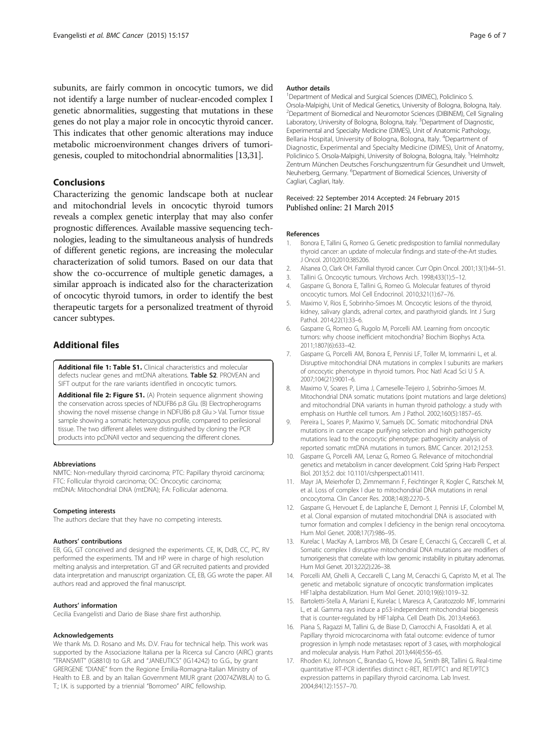<span id="page-5-0"></span>subunits, are fairly common in oncocytic tumors, we did not identify a large number of nuclear-encoded complex I genetic abnormalities, suggesting that mutations in these genes do not play a major role in oncocytic thyroid cancer. This indicates that other genomic alterations may induce metabolic microenvironment changes drivers of tumorigenesis, coupled to mitochondrial abnormalities [13[,31\]](#page-6-0).

## Conclusions

Characterizing the genomic landscape both at nuclear and mitochondrial levels in oncocytic thyroid tumors reveals a complex genetic interplay that may also confer prognostic differences. Available massive sequencing technologies, leading to the simultaneous analysis of hundreds of different genetic regions, are increasing the molecular characterization of solid tumors. Based on our data that show the co-occurrence of multiple genetic damages, a similar approach is indicated also for the characterization of oncocytic thyroid tumors, in order to identify the best therapeutic targets for a personalized treatment of thyroid cancer subtypes.

# Additional files

[Additional file 1: Table S1.](http://www.biomedcentral.com/content/supplementary/s12885-015-1122-3-s1.docx) Clinical characteristics and molecular defects nuclear genes and mtDNA alterations. Table S2. PROVEAN and SIFT output for the rare variants identified in oncocytic tumors.

[Additional file 2: Figure S1.](http://www.biomedcentral.com/content/supplementary/s12885-015-1122-3-s2.jpeg) (A) Protein sequence alignment showing the conservation across species of NDUFB6 p.8 Glu. (B) Electropherograms showing the novel missense change in NDFUB6 p.8 Glu > Val. Tumor tissue sample showing a somatic heterozygous profile, compared to perilesional tissue. The two different alleles were distinguished by cloning the PCR products into pcDNAII vector and sequencing the different clones.

#### **Abbreviations**

NMTC: Non-medullary thyroid carcinoma; PTC: Papillary thyroid carcinoma; FTC: Follicular thyroid carcinoma; OC: Oncocytic carcinoma; mtDNA: Mitochondrial DNA (mtDNA); FA: Follicular adenoma.

#### Competing interests

The authors declare that they have no competing interests.

#### Authors' contributions

EB, GG, GT conceived and designed the experiments. CE, IK, DdB, CC, PC, RV performed the experiments. TM and HP were in charge of high resolution melting analysis and interpretation. GT and GR recruited patients and provided data interpretation and manuscript organization. CE, EB, GG wrote the paper. All authors read and approved the final manuscript.

#### Authors' information

Cecilia Evangelisti and Dario de Biase share first authorship.

#### Acknowledgements

We thank Ms. D. Rosano and Ms. D.V. Frau for technical help. This work was supported by the Associazione Italiana per la Ricerca sul Cancro (AIRC) grants "TRANSMIT" (IG8810) to G.R. and "JANEUTICS" (IG14242) to G.G., by grant GRERGENE "DIANE" from the Regione Emilia-Romagna-Italian Ministry of Health to E.B. and by an Italian Government MIUR grant (20074ZW8LA) to G. T.; I.K. is supported by a triennial "Borromeo" AIRC fellowship.

<sup>1</sup> Department of Medical and Surgical Sciences (DIMEC), Policlinico S. Orsola-Malpighi, Unit of Medical Genetics, University of Bologna, Bologna, Italy. 2 Department of Biomedical and Neuromotor Sciences (DIBINEM), Cell Signaling Laboratory, University of Bologna, Bologna, Italy. <sup>3</sup>Department of Diagnostic Experimental and Specialty Medicine (DIMES), Unit of Anatomic Pathology, Bellaria Hospital, University of Bologna, Bologna, Italy. <sup>4</sup>Department of Diagnostic, Experimental and Specialty Medicine (DIMES), Unit of Anatomy, Policlinico S. Orsola-Malpighi, University of Bologna, Bologna, Italy. <sup>5</sup>Helmholtz Zentrum München Deutsches Forschungszentrum für Gesundheit und Umwelt, Neuherberg, Germany. <sup>6</sup>Department of Biomedical Sciences, University of Cagliari, Cagliari, Italy.

#### Received: 22 September 2014 Accepted: 24 February 2015 Published online: 21 March 2015

#### References

- 1. Bonora E, Tallini G, Romeo G. Genetic predisposition to familial nonmedullary thyroid cancer: an update of molecular findings and state-of-the-Art studies. J Oncol. 2010;2010:385206.
- 2. Alsanea O, Clark OH. Familial thyroid cancer. Curr Opin Oncol. 2001;13(1):44–51.
- 3. Tallini G. Oncocytic tumours. Virchows Arch. 1998;433(1):5–12.
- 4. Gasparre G, Bonora E, Tallini G, Romeo G. Molecular features of thyroid oncocytic tumors. Mol Cell Endocrinol. 2010;321(1):67–76.
- 5. Maximo V, Rios E, Sobrinho-Simoes M. Oncocytic lesions of the thyroid, kidney, salivary glands, adrenal cortex, and parathyroid glands. Int J Surg Pathol. 2014;22(1):33–6.
- 6. Gasparre G, Romeo G, Rugolo M, Porcelli AM. Learning from oncocytic tumors: why choose inefficient mitochondria? Biochim Biophys Acta. 2011;1807(6):633–42.
- 7. Gasparre G, Porcelli AM, Bonora E, Pennisi LF, Toller M, Iommarini L, et al. Disruptive mitochondrial DNA mutations in complex I subunits are markers of oncocytic phenotype in thyroid tumors. Proc Natl Acad Sci U S A. 2007;104(21):9001–6.
- 8. Maximo V, Soares P, Lima J, Cameselle-Teijeiro J, Sobrinho-Simoes M. Mitochondrial DNA somatic mutations (point mutations and large deletions) and mitochondrial DNA variants in human thyroid pathology: a study with emphasis on Hurthle cell tumors. Am J Pathol. 2002;160(5):1857–65.
- 9. Pereira L, Soares P, Maximo V, Samuels DC. Somatic mitochondrial DNA mutations in cancer escape purifying selection and high pathogenicity mutations lead to the oncocytic phenotype: pathogenicity analysis of reported somatic mtDNA mutations in tumors. BMC Cancer. 2012;12:53.
- 10. Gasparre G, Porcelli AM, Lenaz G, Romeo G. Relevance of mitochondrial genetics and metabolism in cancer development. Cold Spring Harb Perspect Biol. 2013;5:2. doi: 10.1101/cshperspect.a011411.
- 11. Mayr JA, Meierhofer D, Zimmermann F, Feichtinger R, Kogler C, Ratschek M, et al. Loss of complex I due to mitochondrial DNA mutations in renal oncocytoma. Clin Cancer Res. 2008;14(8):2270–5.
- 12. Gasparre G, Hervouet E, de Laplanche E, Demont J, Pennisi LF, Colombel M, et al. Clonal expansion of mutated mitochondrial DNA is associated with tumor formation and complex I deficiency in the benign renal oncocytoma. Hum Mol Genet. 2008;17(7):986–95.
- 13. Kurelac I, MacKay A, Lambros MB, Di Cesare E, Cenacchi G, Ceccarelli C, et al. Somatic complex I disruptive mitochondrial DNA mutations are modifiers of tumorigenesis that correlate with low genomic instability in pituitary adenomas. Hum Mol Genet. 2013;22(2):226–38.
- 14. Porcelli AM, Ghelli A, Ceccarelli C, Lang M, Cenacchi G, Capristo M, et al. The genetic and metabolic signature of oncocytic transformation implicates HIF1alpha destabilization. Hum Mol Genet. 2010;19(6):1019–32.
- 15. Bartoletti-Stella A, Mariani E, Kurelac I, Maresca A, Caratozzolo MF, Iommarini L, et al. Gamma rays induce a p53-independent mitochondrial biogenesis that is counter-regulated by HIF1alpha. Cell Death Dis. 2013;4:e663.
- 16. Piana S, Ragazzi M, Tallini G, de Biase D, Ciarrocchi A, Frasoldati A, et al. Papillary thyroid microcarcinoma with fatal outcome: evidence of tumor progression in lymph node metastases: report of 3 cases, with morphological and molecular analysis. Hum Pathol. 2013;44(4):556–65.
- 17. Rhoden KJ, Johnson C, Brandao G, Howe JG, Smith BR, Tallini G. Real-time quantitative RT-PCR identifies distinct c-RET, RET/PTC1 and RET/PTC3 expression patterns in papillary thyroid carcinoma. Lab Invest. 2004;84(12):1557–70.